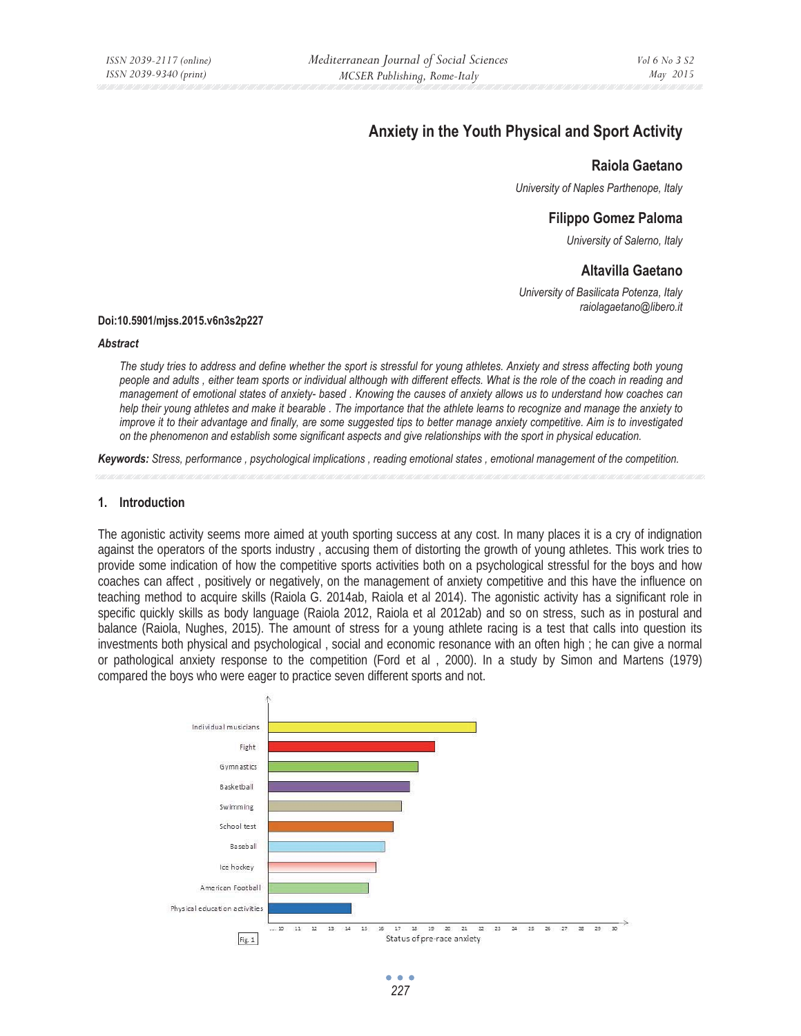# **Anxiety in the Youth Physical and Sport Activity**

# **Raiola Gaetano**

*University of Naples Parthenope, Italy* 

# **Filippo Gomez Paloma**

*University of Salerno, Italy* 

# **Altavilla Gaetano**

*University of Basilicata Potenza, Italy raiolagaetano@libero.it* 

#### **Doi:10.5901/mjss.2015.v6n3s2p227**

#### *Abstract*

*The study tries to address and define whether the sport is stressful for young athletes. Anxiety and stress affecting both young people and adults , either team sports or individual although with different effects. What is the role of the coach in reading and management of emotional states of anxiety- based . Knowing the causes of anxiety allows us to understand how coaches can help their young athletes and make it bearable . The importance that the athlete learns to recognize and manage the anxiety to improve it to their advantage and finally, are some suggested tips to better manage anxiety competitive. Aim is to investigated on the phenomenon and establish some significant aspects and give relationships with the sport in physical education.* 

*Keywords: Stress, performance , psychological implications , reading emotional states , emotional management of the competition.* 

#### **1. Introduction**

The agonistic activity seems more aimed at youth sporting success at any cost. In many places it is a cry of indignation against the operators of the sports industry , accusing them of distorting the growth of young athletes. This work tries to provide some indication of how the competitive sports activities both on a psychological stressful for the boys and how coaches can affect , positively or negatively, on the management of anxiety competitive and this have the influence on teaching method to acquire skills (Raiola G. 2014ab, Raiola et al 2014). The agonistic activity has a significant role in specific quickly skills as body language (Raiola 2012, Raiola et al 2012ab) and so on stress, such as in postural and balance (Raiola, Nughes, 2015). The amount of stress for a young athlete racing is a test that calls into question its investments both physical and psychological , social and economic resonance with an often high ; he can give a normal or pathological anxiety response to the competition (Ford et al , 2000). In a study by Simon and Martens (1979) compared the boys who were eager to practice seven different sports and not.

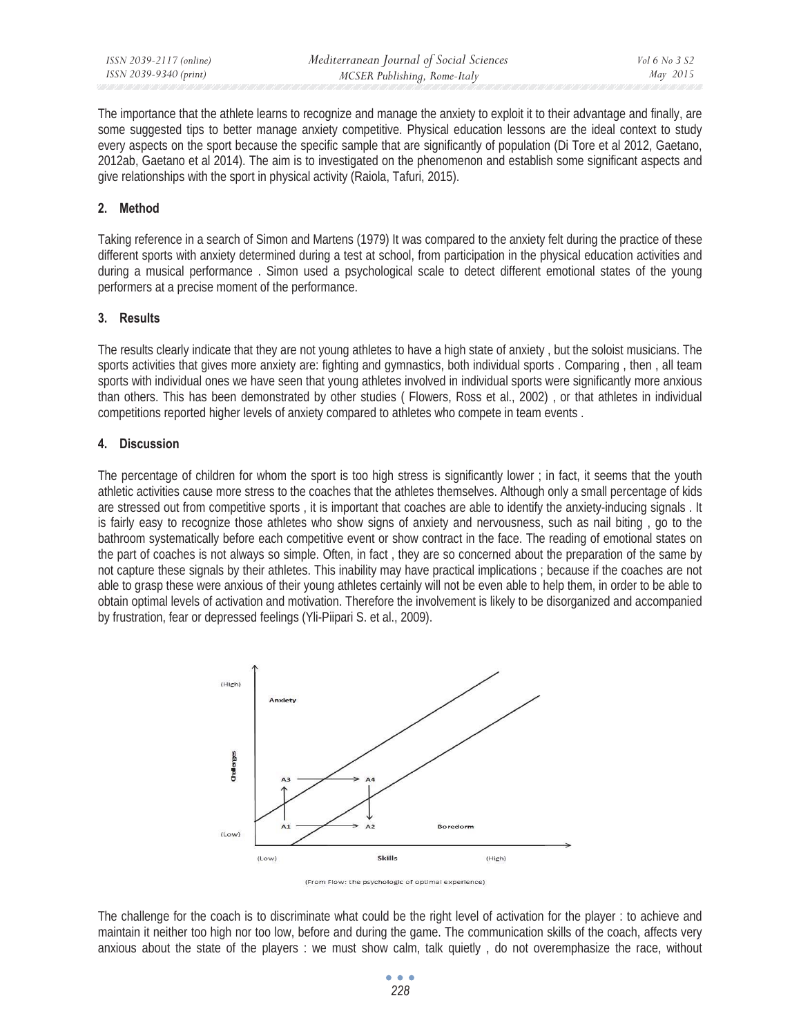The importance that the athlete learns to recognize and manage the anxiety to exploit it to their advantage and finally, are some suggested tips to better manage anxiety competitive. Physical education lessons are the ideal context to study every aspects on the sport because the specific sample that are significantly of population (Di Tore et al 2012, Gaetano, 2012ab, Gaetano et al 2014). The aim is to investigated on the phenomenon and establish some significant aspects and give relationships with the sport in physical activity (Raiola, Tafuri, 2015).

# **2. Method**

Taking reference in a search of Simon and Martens (1979) It was compared to the anxiety felt during the practice of these different sports with anxiety determined during a test at school, from participation in the physical education activities and during a musical performance . Simon used a psychological scale to detect different emotional states of the young performers at a precise moment of the performance.

## **3. Results**

The results clearly indicate that they are not young athletes to have a high state of anxiety , but the soloist musicians. The sports activities that gives more anxiety are: fighting and gymnastics, both individual sports . Comparing , then , all team sports with individual ones we have seen that young athletes involved in individual sports were significantly more anxious than others. This has been demonstrated by other studies ( Flowers, Ross et al., 2002) , or that athletes in individual competitions reported higher levels of anxiety compared to athletes who compete in team events .

# **4. Discussion**

The percentage of children for whom the sport is too high stress is significantly lower ; in fact, it seems that the youth athletic activities cause more stress to the coaches that the athletes themselves. Although only a small percentage of kids are stressed out from competitive sports , it is important that coaches are able to identify the anxiety-inducing signals . It is fairly easy to recognize those athletes who show signs of anxiety and nervousness, such as nail biting , go to the bathroom systematically before each competitive event or show contract in the face. The reading of emotional states on the part of coaches is not always so simple. Often, in fact , they are so concerned about the preparation of the same by not capture these signals by their athletes. This inability may have practical implications ; because if the coaches are not able to grasp these were anxious of their young athletes certainly will not be even able to help them, in order to be able to obtain optimal levels of activation and motivation. Therefore the involvement is likely to be disorganized and accompanied by frustration, fear or depressed feelings (Yli-Piipari S. et al., 2009).



(From Flow: the psychologic of optimal experience)

The challenge for the coach is to discriminate what could be the right level of activation for the player : to achieve and maintain it neither too high nor too low, before and during the game. The communication skills of the coach, affects very anxious about the state of the players : we must show calm, talk quietly , do not overemphasize the race, without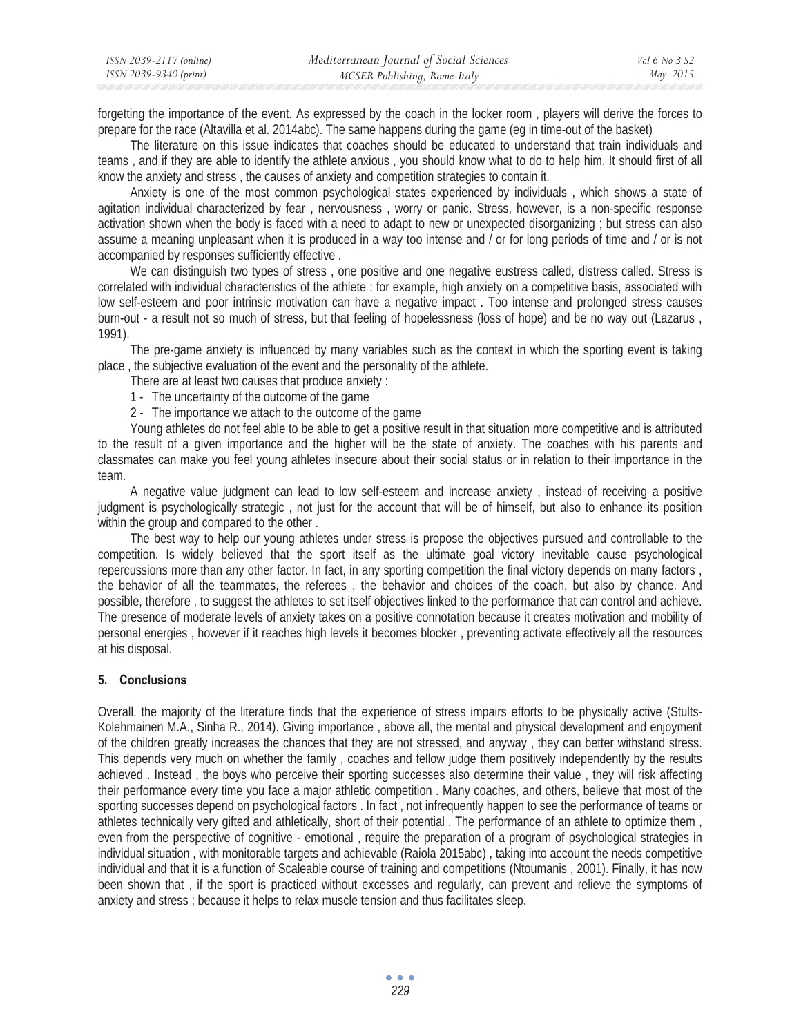| ISSN 2039-2117 (online) | Mediterranean Journal of Social Sciences | Vol 6 No 3 S2 |
|-------------------------|------------------------------------------|---------------|
| ISSN 2039-9340 (print)  | MCSER Publishing, Rome-Italy             | May 2015      |

forgetting the importance of the event. As expressed by the coach in the locker room , players will derive the forces to prepare for the race (Altavilla et al. 2014abc). The same happens during the game (eg in time-out of the basket)

The literature on this issue indicates that coaches should be educated to understand that train individuals and teams , and if they are able to identify the athlete anxious , you should know what to do to help him. It should first of all know the anxiety and stress , the causes of anxiety and competition strategies to contain it.

Anxiety is one of the most common psychological states experienced by individuals , which shows a state of agitation individual characterized by fear , nervousness , worry or panic. Stress, however, is a non-specific response activation shown when the body is faced with a need to adapt to new or unexpected disorganizing ; but stress can also assume a meaning unpleasant when it is produced in a way too intense and / or for long periods of time and / or is not accompanied by responses sufficiently effective .

We can distinguish two types of stress , one positive and one negative eustress called, distress called. Stress is correlated with individual characteristics of the athlete : for example, high anxiety on a competitive basis, associated with low self-esteem and poor intrinsic motivation can have a negative impact . Too intense and prolonged stress causes burn-out - a result not so much of stress, but that feeling of hopelessness (loss of hope) and be no way out (Lazarus , 1991).

The pre-game anxiety is influenced by many variables such as the context in which the sporting event is taking place , the subjective evaluation of the event and the personality of the athlete.

- There are at least two causes that produce anxiety :
- 1 The uncertainty of the outcome of the game
- 2 The importance we attach to the outcome of the game

Young athletes do not feel able to be able to get a positive result in that situation more competitive and is attributed to the result of a given importance and the higher will be the state of anxiety. The coaches with his parents and classmates can make you feel young athletes insecure about their social status or in relation to their importance in the team.

A negative value judgment can lead to low self-esteem and increase anxiety , instead of receiving a positive judgment is psychologically strategic , not just for the account that will be of himself, but also to enhance its position within the group and compared to the other.

The best way to help our young athletes under stress is propose the objectives pursued and controllable to the competition. Is widely believed that the sport itself as the ultimate goal victory inevitable cause psychological repercussions more than any other factor. In fact, in any sporting competition the final victory depends on many factors , the behavior of all the teammates, the referees , the behavior and choices of the coach, but also by chance. And possible, therefore , to suggest the athletes to set itself objectives linked to the performance that can control and achieve. The presence of moderate levels of anxiety takes on a positive connotation because it creates motivation and mobility of personal energies , however if it reaches high levels it becomes blocker , preventing activate effectively all the resources at his disposal.

## **5. Conclusions**

Overall, the majority of the literature finds that the experience of stress impairs efforts to be physically active (Stults-Kolehmainen M.A., Sinha R., 2014). Giving importance , above all, the mental and physical development and enjoyment of the children greatly increases the chances that they are not stressed, and anyway , they can better withstand stress. This depends very much on whether the family , coaches and fellow judge them positively independently by the results achieved . Instead , the boys who perceive their sporting successes also determine their value , they will risk affecting their performance every time you face a major athletic competition . Many coaches, and others, believe that most of the sporting successes depend on psychological factors . In fact , not infrequently happen to see the performance of teams or athletes technically very gifted and athletically, short of their potential . The performance of an athlete to optimize them , even from the perspective of cognitive - emotional , require the preparation of a program of psychological strategies in individual situation , with monitorable targets and achievable (Raiola 2015abc) , taking into account the needs competitive individual and that it is a function of Scaleable course of training and competitions (Ntoumanis , 2001). Finally, it has now been shown that , if the sport is practiced without excesses and regularly, can prevent and relieve the symptoms of anxiety and stress ; because it helps to relax muscle tension and thus facilitates sleep.